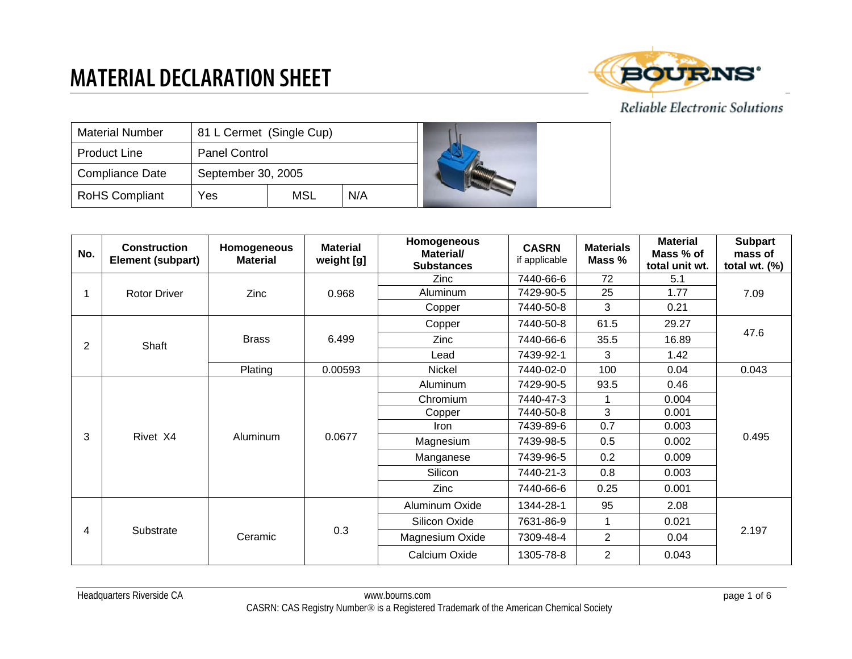

| <b>Material Number</b> | 81 L Cermet (Single Cup) |     |     |  |
|------------------------|--------------------------|-----|-----|--|
| <b>Product Line</b>    | <b>Panel Control</b>     |     |     |  |
| <b>Compliance Date</b> | September 30, 2005       |     |     |  |
| <b>RoHS Compliant</b>  | Yes                      | MSL | N/A |  |

| No.            | <b>Construction</b><br><b>Element (subpart)</b> | Homogeneous<br><b>Material</b> | <b>Material</b><br>weight [g] | Homogeneous<br>Material/<br><b>Substances</b> | <b>CASRN</b><br>if applicable | <b>Materials</b><br>Mass % | <b>Material</b><br>Mass % of<br>total unit wt. | <b>Subpart</b><br>mass of<br>total wt. $(\%)$ |
|----------------|-------------------------------------------------|--------------------------------|-------------------------------|-----------------------------------------------|-------------------------------|----------------------------|------------------------------------------------|-----------------------------------------------|
|                |                                                 |                                |                               | Zinc                                          | 7440-66-6                     | 72                         | 5.1                                            |                                               |
|                | <b>Rotor Driver</b>                             | Zinc                           | 0.968                         | Aluminum                                      | 7429-90-5                     | 25                         | 1.77                                           | 7.09                                          |
|                |                                                 |                                |                               | Copper                                        | 7440-50-8                     | 3                          | 0.21                                           |                                               |
|                |                                                 |                                |                               | Copper                                        | 7440-50-8                     | 61.5                       | 29.27                                          |                                               |
| $\overline{2}$ | Shaft                                           | <b>Brass</b>                   | 6.499                         | Zinc                                          | 7440-66-6                     | 35.5                       | 16.89                                          | 47.6                                          |
|                |                                                 |                                |                               | Lead                                          | 7439-92-1                     | 3                          | 1.42                                           |                                               |
|                |                                                 | Plating                        | 0.00593                       | Nickel                                        | 7440-02-0                     | 100                        | 0.04                                           | 0.043                                         |
|                | Rivet X4                                        | Aluminum                       | 0.0677                        | Aluminum                                      | 7429-90-5                     | 93.5                       | 0.46                                           | 0.495                                         |
|                |                                                 |                                |                               | Chromium                                      | 7440-47-3                     |                            | 0.004                                          |                                               |
|                |                                                 |                                |                               | Copper                                        | 7440-50-8                     | 3                          | 0.001                                          |                                               |
|                |                                                 |                                |                               | Iron                                          | 7439-89-6                     | 0.7                        | 0.003                                          |                                               |
| 3              |                                                 |                                |                               | Magnesium                                     | 7439-98-5                     | 0.5                        | 0.002                                          |                                               |
|                |                                                 |                                |                               | Manganese                                     | 7439-96-5                     | 0.2                        | 0.009                                          |                                               |
|                |                                                 |                                |                               | Silicon                                       | 7440-21-3                     | 0.8                        | 0.003                                          |                                               |
|                |                                                 |                                |                               | Zinc                                          | 7440-66-6                     | 0.25                       | 0.001                                          |                                               |
|                |                                                 |                                |                               | Aluminum Oxide                                | 1344-28-1                     | 95                         | 2.08                                           | 2.197                                         |
|                |                                                 |                                |                               | Silicon Oxide                                 | 7631-86-9                     | 1                          | 0.021                                          |                                               |
| 4              | Substrate                                       | Ceramic                        | 0.3                           | Magnesium Oxide                               | 7309-48-4                     | $\overline{2}$             | 0.04                                           |                                               |
|                |                                                 |                                |                               | Calcium Oxide                                 | 1305-78-8                     | $\overline{2}$             | 0.043                                          |                                               |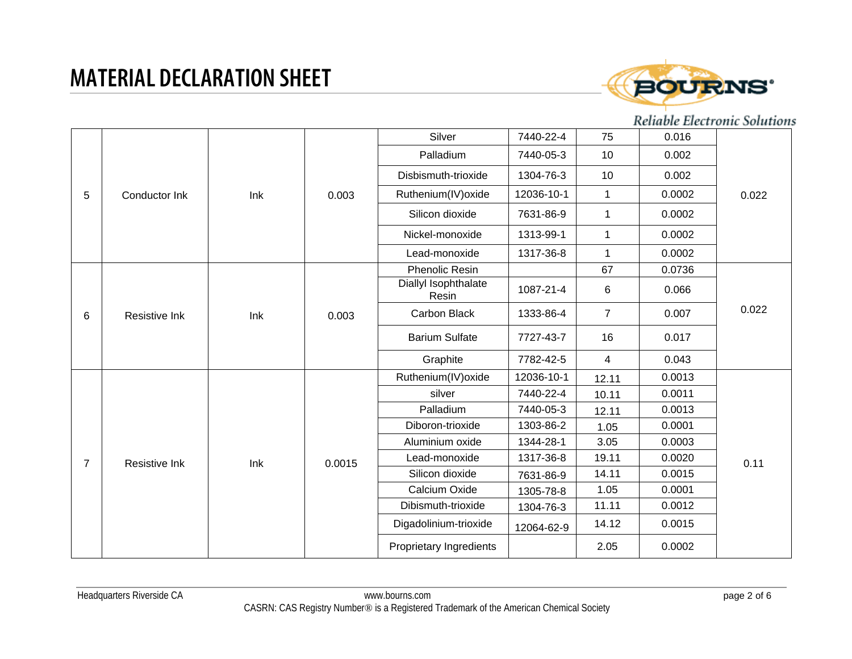

|                |               |     |        | Silver                        | 7440-22-4               | 75             | 0.016  |        |
|----------------|---------------|-----|--------|-------------------------------|-------------------------|----------------|--------|--------|
|                |               |     |        | Palladium                     | 7440-05-3               | 10             | 0.002  |        |
| 5              |               |     |        | Disbismuth-trioxide           | 1304-76-3               | 10             | 0.002  |        |
|                | Conductor Ink | Ink | 0.003  | Ruthenium(IV) oxide           | 12036-10-1              | $\mathbf 1$    | 0.0002 | 0.022  |
|                |               |     |        | Silicon dioxide               | 7631-86-9               | 1              | 0.0002 |        |
|                |               |     |        | Nickel-monoxide               | 1313-99-1               | $\mathbf{1}$   | 0.0002 |        |
|                |               |     |        | Lead-monoxide                 | 1317-36-8               | $\mathbf{1}$   | 0.0002 |        |
|                |               |     |        | Phenolic Resin                |                         | 67             | 0.0736 |        |
| 6              | Resistive Ink | Ink | 0.003  | Diallyl Isophthalate<br>Resin | 1087-21-4               | 6              | 0.066  | 0.022  |
|                |               |     |        | Carbon Black                  | 1333-86-4               | $\overline{7}$ | 0.007  |        |
|                |               |     |        | <b>Barium Sulfate</b>         | 7727-43-7               | 16             | 0.017  |        |
|                |               |     |        | Graphite                      | 7782-42-5               | $\overline{4}$ | 0.043  |        |
|                |               |     |        | Ruthenium(IV) oxide           | 12036-10-1              | 12.11          | 0.0013 | 0.11   |
|                |               |     |        | silver                        | 7440-22-4               | 10.11          | 0.0011 |        |
|                |               |     |        | Palladium                     | 7440-05-3               | 12.11          | 0.0013 |        |
|                |               |     |        | Diboron-trioxide              | 1303-86-2               | 1.05           | 0.0001 |        |
|                |               |     |        | Aluminium oxide               | 1344-28-1               | 3.05           | 0.0003 |        |
| $\overline{7}$ | Resistive Ink | Ink | 0.0015 | Lead-monoxide                 | 1317-36-8               | 19.11          | 0.0020 |        |
|                |               |     |        | Silicon dioxide               | 7631-86-9               | 14.11          | 0.0015 |        |
|                |               |     |        | Calcium Oxide                 | 1305-78-8               | 1.05           | 0.0001 |        |
|                |               |     |        | Dibismuth-trioxide            | 1304-76-3               | 11.11          | 0.0012 |        |
|                |               |     |        | Digadolinium-trioxide         | 12064-62-9              | 14.12          | 0.0015 |        |
|                |               |     |        |                               | Proprietary Ingredients |                | 2.05   | 0.0002 |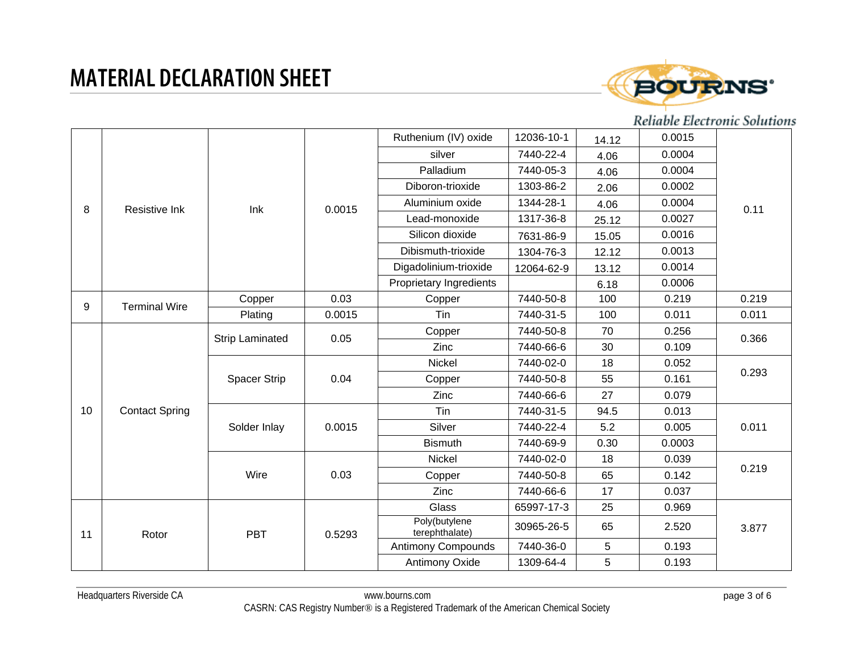

|    |                       |                                        |        | Ruthenium (IV) oxide            | 12036-10-1     | 14.12     | 0.0015 |       |  |
|----|-----------------------|----------------------------------------|--------|---------------------------------|----------------|-----------|--------|-------|--|
|    |                       |                                        |        | silver                          | 7440-22-4      | 4.06      | 0.0004 |       |  |
| 8  |                       |                                        |        | Palladium                       | 7440-05-3      | 4.06      | 0.0004 |       |  |
|    |                       |                                        |        | Diboron-trioxide                | 1303-86-2      | 2.06      | 0.0002 |       |  |
|    | Resistive Ink         | Ink                                    | 0.0015 | Aluminium oxide                 | 1344-28-1      | 4.06      | 0.0004 | 0.11  |  |
|    |                       |                                        |        | Lead-monoxide                   | 1317-36-8      | 25.12     | 0.0027 |       |  |
|    |                       |                                        |        | Silicon dioxide                 | 7631-86-9      | 15.05     | 0.0016 |       |  |
|    |                       |                                        |        | Dibismuth-trioxide              | 1304-76-3      | 12.12     | 0.0013 |       |  |
|    |                       |                                        |        | Digadolinium-trioxide           | 12064-62-9     | 13.12     | 0.0014 |       |  |
|    |                       |                                        |        | Proprietary Ingredients         |                | 6.18      | 0.0006 |       |  |
| 9  | <b>Terminal Wire</b>  | Copper                                 | 0.03   | Copper                          | 7440-50-8      | 100       | 0.219  | 0.219 |  |
|    |                       | Plating                                | 0.0015 | Tin                             | 7440-31-5      | 100       | 0.011  | 0.011 |  |
|    | <b>Contact Spring</b> | <b>Strip Laminated</b><br>Spacer Strip | 0.05   | Copper                          | 7440-50-8      | 70        | 0.256  | 0.366 |  |
|    |                       |                                        |        | Zinc                            | 7440-66-6      | 30        | 0.109  |       |  |
|    |                       |                                        | 0.04   | Nickel                          | 7440-02-0      | 18        | 0.052  | 0.293 |  |
|    |                       |                                        |        | Copper                          | 7440-50-8      | 55        | 0.161  |       |  |
|    |                       |                                        |        | Zinc                            | 7440-66-6      | 27        | 0.079  |       |  |
| 10 |                       | Solder Inlay                           | 0.0015 | Tin                             | 7440-31-5      | 94.5      | 0.013  | 0.011 |  |
|    |                       |                                        |        | Silver                          | 7440-22-4      | 5.2       | 0.005  |       |  |
|    |                       |                                        |        | <b>Bismuth</b>                  | 7440-69-9      | 0.30      | 0.0003 |       |  |
|    |                       |                                        |        | Nickel                          | 7440-02-0      | 18        | 0.039  |       |  |
|    |                       | Wire                                   | 0.03   | Copper                          | 7440-50-8      | 65        | 0.142  | 0.219 |  |
|    |                       |                                        |        | Zinc                            | 7440-66-6      | 17        | 0.037  |       |  |
|    |                       |                                        |        | Glass                           | 65997-17-3     | 25        | 0.969  | 3.877 |  |
| 11 |                       | <b>PBT</b><br>Rotor                    | 0.5293 | Poly(butylene<br>terephthalate) | 30965-26-5     | 65        | 2.520  |       |  |
|    |                       |                                        |        | <b>Antimony Compounds</b>       | 7440-36-0      | 5         | 0.193  |       |  |
|    |                       |                                        |        |                                 | Antimony Oxide | 1309-64-4 | 5      | 0.193 |  |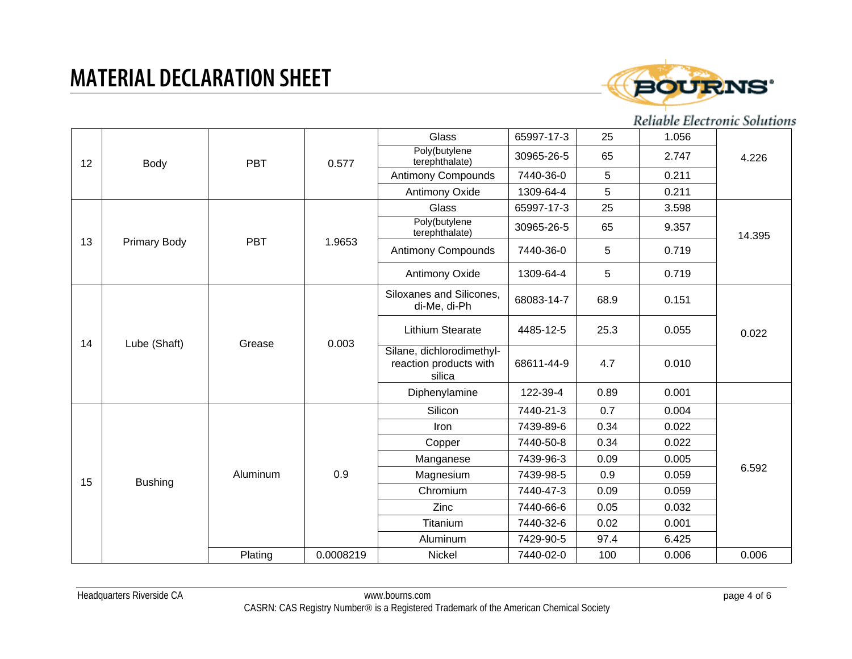

|    |                     |            |           | Glass                           | 65997-17-3                                                    | 25         | 1.056 |        |  |
|----|---------------------|------------|-----------|---------------------------------|---------------------------------------------------------------|------------|-------|--------|--|
| 12 | <b>Body</b>         | <b>PBT</b> | 0.577     | Poly(butylene<br>terephthalate) | 30965-26-5                                                    | 65         | 2.747 | 4.226  |  |
|    |                     |            |           | <b>Antimony Compounds</b>       | 7440-36-0                                                     | 5          | 0.211 |        |  |
|    |                     |            |           | Antimony Oxide                  | 1309-64-4                                                     | 5          | 0.211 |        |  |
|    |                     |            |           | Glass                           | 65997-17-3                                                    | 25         | 3.598 |        |  |
|    |                     |            |           | Poly(butylene<br>terephthalate) | 30965-26-5                                                    | 65         | 9.357 | 14.395 |  |
| 13 | <b>Primary Body</b> | <b>PBT</b> | 1.9653    | <b>Antimony Compounds</b>       | 7440-36-0                                                     | 5          | 0.719 |        |  |
|    |                     |            |           | Antimony Oxide                  | 1309-64-4                                                     | 5          | 0.719 |        |  |
|    | Lube (Shaft)        | Grease     |           |                                 | Siloxanes and Silicones,<br>di-Me, di-Ph                      | 68083-14-7 | 68.9  | 0.151  |  |
| 14 |                     |            | 0.003     | <b>Lithium Stearate</b>         | 4485-12-5                                                     | 25.3       | 0.055 | 0.022  |  |
|    |                     |            |           |                                 | Silane, dichlorodimethyl-<br>reaction products with<br>silica | 68611-44-9 | 4.7   | 0.010  |  |
|    |                     |            |           | Diphenylamine                   | 122-39-4                                                      | 0.89       | 0.001 |        |  |
|    |                     |            |           | Silicon                         | 7440-21-3                                                     | 0.7        | 0.004 |        |  |
|    |                     |            |           | Iron                            | 7439-89-6                                                     | 0.34       | 0.022 |        |  |
|    |                     |            |           | Copper                          | 7440-50-8                                                     | 0.34       | 0.022 |        |  |
|    |                     |            |           | Manganese                       | 7439-96-3                                                     | 0.09       | 0.005 |        |  |
| 15 | <b>Bushing</b>      | Aluminum   | 0.9       | Magnesium                       | 7439-98-5                                                     | 0.9        | 0.059 | 6.592  |  |
|    |                     |            |           | Chromium                        | 7440-47-3                                                     | 0.09       | 0.059 |        |  |
|    |                     |            |           | Zinc                            | 7440-66-6                                                     | 0.05       | 0.032 |        |  |
|    |                     |            |           | Titanium                        | 7440-32-6                                                     | 0.02       | 0.001 |        |  |
|    |                     |            |           | Aluminum                        | 7429-90-5                                                     | 97.4       | 6.425 |        |  |
|    |                     | Plating    | 0.0008219 | Nickel                          | 7440-02-0                                                     | 100        | 0.006 | 0.006  |  |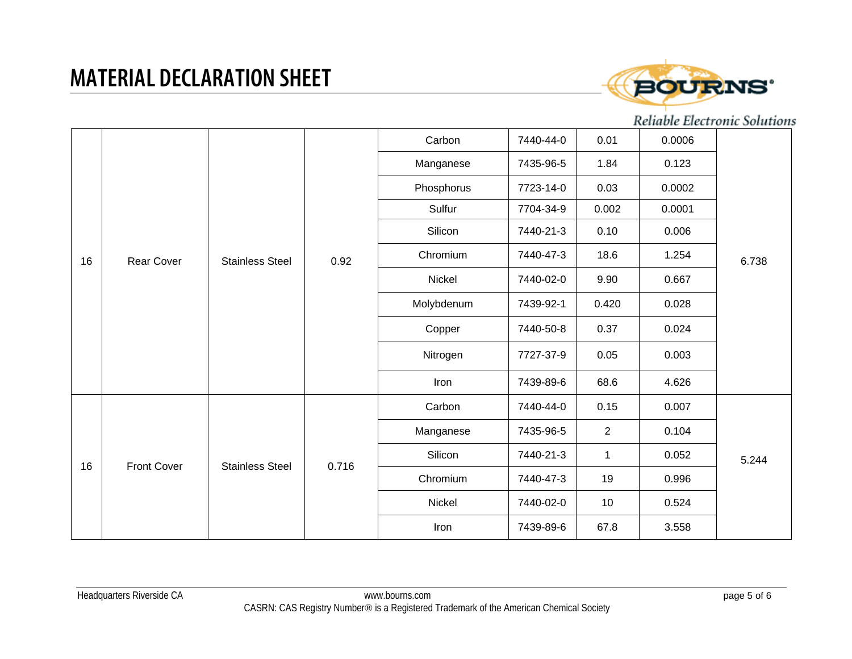

| 16 |                    |                        |       | Carbon     | 7440-44-0 | 0.01           | 0.0006 |       |
|----|--------------------|------------------------|-------|------------|-----------|----------------|--------|-------|
|    |                    |                        |       | Manganese  | 7435-96-5 | 1.84           | 0.123  |       |
|    |                    |                        |       | Phosphorus | 7723-14-0 | 0.03           | 0.0002 |       |
|    |                    |                        |       | Sulfur     | 7704-34-9 | 0.002          | 0.0001 |       |
|    |                    |                        |       | Silicon    | 7440-21-3 | 0.10           | 0.006  |       |
|    | <b>Rear Cover</b>  | <b>Stainless Steel</b> | 0.92  | Chromium   | 7440-47-3 | 18.6           | 1.254  | 6.738 |
|    |                    |                        |       | Nickel     | 7440-02-0 | 9.90           | 0.667  |       |
|    |                    |                        |       | Molybdenum | 7439-92-1 | 0.420          | 0.028  |       |
|    |                    |                        |       | Copper     | 7440-50-8 | 0.37           | 0.024  |       |
|    |                    |                        |       | Nitrogen   | 7727-37-9 | 0.05           | 0.003  |       |
|    |                    |                        |       | Iron       | 7439-89-6 | 68.6           | 4.626  |       |
|    |                    |                        |       | Carbon     | 7440-44-0 | 0.15           | 0.007  |       |
|    |                    |                        |       | Manganese  | 7435-96-5 | $\overline{2}$ | 0.104  |       |
| 16 | <b>Front Cover</b> | <b>Stainless Steel</b> | 0.716 | Silicon    | 7440-21-3 | $\mathbf 1$    | 0.052  | 5.244 |
|    |                    |                        |       | Chromium   | 7440-47-3 | 19             | 0.996  |       |
|    |                    |                        |       | Nickel     | 7440-02-0 | 10             | 0.524  |       |
|    |                    |                        |       |            | Iron      | 7439-89-6      | 67.8   | 3.558 |